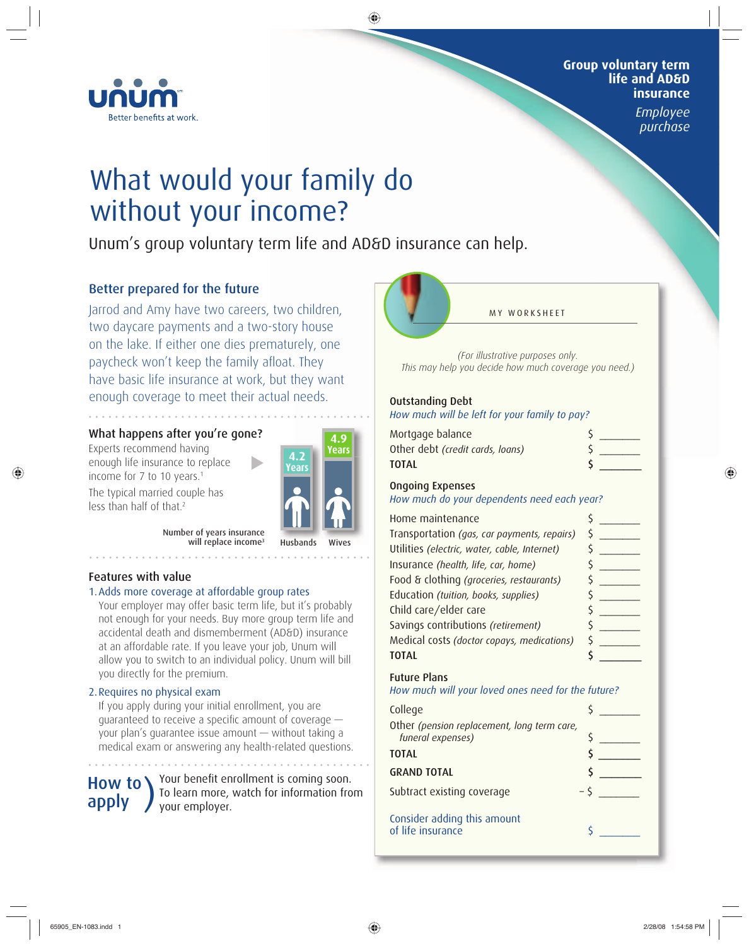

#### **Group voluntary term life and AD&D insurance**

*Employee purchase*

# What would your family do without your income?

Unum's group voluntary term life and AD&D insurance can help.

# Better prepared for the future

Jarrod and Amy have two careers, two children, two daycare payments and a two-story house on the lake. If either one dies prematurely, one paycheck won't keep the family afloat. They have basic life insurance at work, but they want enough coverage to meet their actual needs.

# What happens after you're gone?

Experts recommend having enough life insurance to replace income for 7 to 10 years.<sup>1</sup>

The typical married couple has

**4.2 Years 4.9 Years**

Wives

Husbands

Number of years insurance will replace income<sup>3</sup>

## Features with value

less than half of that.2

#### 1. Adds more coverage at affordable group rates

Your employer may offer basic term life, but it's probably not enough for your needs. Buy more group term life and accidental death and dismemberment (AD&D) insurance at an affordable rate. If you leave your job, Unum will allow you to switch to an individual policy. Unum will bill you directly for the premium.

## 2. Requires no physical exam

If you apply during your initial enrollment, you are guaranteed to receive a specific amount of coverage  $$ your plan's guarantee issue amount — without taking a medical exam or answering any health-related questions.

How to **)** 

Your benefit enrollment is coming soon. To learn more, watch for information from your employer.



*(For illustrative purposes only. This may help you decide how much coverage you need.)*

### Outstanding Debt

*How much will be left for your family to pay?*

| Mortgage balance                 |  |
|----------------------------------|--|
| Other debt (credit cards, loans) |  |
| TOTAL                            |  |
|                                  |  |

#### Ongoing Expenses

*How much do your dependents need each year?*

| Home maintenance                             |  |
|----------------------------------------------|--|
| Transportation (gas, car payments, repairs)  |  |
| Utilities (electric, water, cable, Internet) |  |
| Insurance (health, life, car, home)          |  |
| Food & clothing (groceries, restaurants)     |  |
| Education (tuition, books, supplies)         |  |
| Child care/elder care                        |  |
| Savings contributions (retirement)           |  |
| Medical costs (doctor copays, medications)   |  |
|                                              |  |

## Future Plans

#### *How much will your loved ones need for the future?*

| College                                                          |  |
|------------------------------------------------------------------|--|
| Other (pension replacement, long term care,<br>funeral expenses) |  |
| <b>TOTAL</b>                                                     |  |
| <b>GRAND TOTAL</b>                                               |  |
| Subtract existing coverage                                       |  |
| Consider adding this amount<br>of life insurance                 |  |